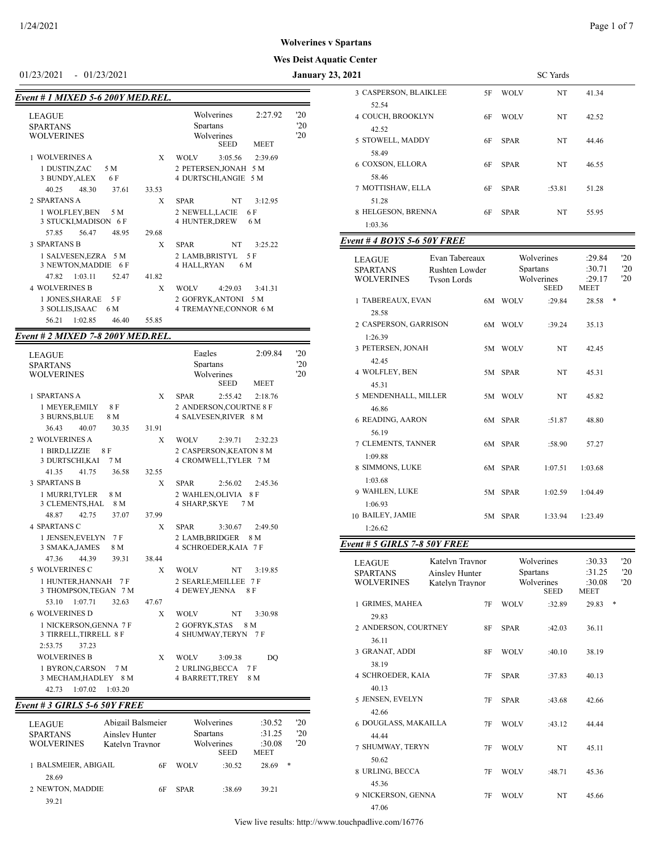# **Wes Deist Aquatic Center**

-

01/23/2021 - 01/23/2021 **January 23,** 

| Event # 1 MIXED 5-6 200Y MED.REL. |  |  |
|-----------------------------------|--|--|
|-----------------------------------|--|--|

| 0.4001.00200.0001 |                                                                                      |                                     |
|-------------------|--------------------------------------------------------------------------------------|-------------------------------------|
|                   | Wolverines<br>2:27.92<br><b>Spartans</b><br>Wolverines<br><b>SEED</b><br><b>MEET</b> | $20^{\circ}$<br>'20<br>$20^{\circ}$ |
| X                 | <b>WOLV</b><br>3:05.56<br>2:39.69                                                    |                                     |
|                   | 2 PETERSEN, JONAH 5 M<br>4 DURTSCHI, ANGIE 5 M                                       |                                     |
| 33.53             |                                                                                      |                                     |
| X                 | NT<br><b>SPAR</b><br>3:12.95                                                         |                                     |
|                   | 2 NEWELL,LACIE<br>6 F<br>4 HUNTER, DREW<br>6 M                                       |                                     |
| 29.68             |                                                                                      |                                     |
| X                 | NT<br><b>SPAR</b><br>3:25.22                                                         |                                     |
|                   | 2 LAMB, BRISTYL<br>- 5 F<br>4 HALL,RYAN<br>6 M                                       |                                     |
| 41.82             |                                                                                      |                                     |
| X                 | <b>WOLV</b><br>4:29.03<br>3:41.31                                                    |                                     |
|                   | 2 GOFRYK, ANTONI 5 M<br>4 TREMAYNE, CONNOR 6 M                                       |                                     |
| 55.85             |                                                                                      |                                     |
|                   |                                                                                      |                                     |

#### *Event # 2 MIXED 7-8 200Y MED.REL.*

| 1 SPARTANS A<br>X<br><b>SPAR</b><br>2:55.42<br>2:18.76<br>2 ANDERSON, COURTNE 8 F<br>1 MEYER, EMILY<br>8 F<br>3 BURNS, BLUE<br>4 SALVESEN, RIVER 8 M<br>8 M<br>36.43<br>40.07<br>31.91<br>30.35<br>2 WOLVERINES A<br><b>WOLV</b><br>X<br>2:39.71<br>2:32.23<br>1 BIRD, LIZZIE<br>8 F<br>2 CASPERSON, KEATON 8 M<br>3 DURTSCHI, KAI<br>4 CROMWELL, TYLER 7 M<br>7 M<br>41.35<br>41.75<br>36.58<br>32.55<br><b>3 SPARTANS B</b><br>X<br><b>SPAR</b><br>2:56.02<br>2:45.36<br>8 M<br>1 MURRI.TYLER<br>2 WAHLEN, OLIVIA 8 F<br>3 CLEMENTS, HAL<br>8 M<br>4 SHARP, SKYE<br>7 M<br>48.87<br>42.75<br>37.07<br>37.99<br><b>4 SPARTANS C</b><br>X<br>SPAR<br>3:30.67<br>2:49.50<br>1 JENSEN, EVELYN 7 F<br>2 LAMB, BRIDGER<br>8 M<br>3 SMAKA, JAMES<br>4 SCHROEDER, KAIA 7 F<br>8 M<br>44.39<br>47.36<br>39.31<br>38.44<br>5 WOLVERINES C<br>X<br><b>WOLV</b><br>NT<br>3:19.85<br>1 HUNTER, HANNAH 7 F<br>2 SEARLE, MEILLEE 7 F<br>3 THOMPSON, TEGAN 7 M<br>4 DEWEY, JENNA<br>8 F<br>53.10<br>1:07.71<br>32.63<br>47.67<br>6 WOLVERINES D<br>X<br><b>NT</b><br><b>WOLV</b><br>3:30.98<br>1 NICKERSON, GENNA 7 F<br>2 GOFRYK.STAS<br>8 M<br>3 TIRRELL, TIRRELL 8 F<br>4 SHUMWAY, TERYN 7 F<br>37.23<br>2:53.75<br><b>WOLVERINES B</b><br>X<br><b>WOLV</b><br>3:09.38<br>DO<br>2 URLING, BECCA<br>7F<br>1 BYRON, CARSON<br>7 M<br>3 MECHAM, HADLEY 8 M<br>4 BARRETT, TREY<br>8 M<br>42.73<br>1:07.02<br>1:03.20 | <b>LEAGUE</b><br><b>SPARTANS</b><br><b>WOLVERINES</b> | Eagles<br>2:09.84<br><b>Spartans</b><br>Wolverines<br><b>SEED</b><br><b>MEET</b> | '20<br>'20<br>20 |
|-------------------------------------------------------------------------------------------------------------------------------------------------------------------------------------------------------------------------------------------------------------------------------------------------------------------------------------------------------------------------------------------------------------------------------------------------------------------------------------------------------------------------------------------------------------------------------------------------------------------------------------------------------------------------------------------------------------------------------------------------------------------------------------------------------------------------------------------------------------------------------------------------------------------------------------------------------------------------------------------------------------------------------------------------------------------------------------------------------------------------------------------------------------------------------------------------------------------------------------------------------------------------------------------------------------------------------------------------------------------------------------------------------|-------------------------------------------------------|----------------------------------------------------------------------------------|------------------|
|                                                                                                                                                                                                                                                                                                                                                                                                                                                                                                                                                                                                                                                                                                                                                                                                                                                                                                                                                                                                                                                                                                                                                                                                                                                                                                                                                                                                       |                                                       |                                                                                  |                  |
|                                                                                                                                                                                                                                                                                                                                                                                                                                                                                                                                                                                                                                                                                                                                                                                                                                                                                                                                                                                                                                                                                                                                                                                                                                                                                                                                                                                                       |                                                       |                                                                                  |                  |
|                                                                                                                                                                                                                                                                                                                                                                                                                                                                                                                                                                                                                                                                                                                                                                                                                                                                                                                                                                                                                                                                                                                                                                                                                                                                                                                                                                                                       |                                                       |                                                                                  |                  |
|                                                                                                                                                                                                                                                                                                                                                                                                                                                                                                                                                                                                                                                                                                                                                                                                                                                                                                                                                                                                                                                                                                                                                                                                                                                                                                                                                                                                       |                                                       |                                                                                  |                  |
|                                                                                                                                                                                                                                                                                                                                                                                                                                                                                                                                                                                                                                                                                                                                                                                                                                                                                                                                                                                                                                                                                                                                                                                                                                                                                                                                                                                                       |                                                       |                                                                                  |                  |
|                                                                                                                                                                                                                                                                                                                                                                                                                                                                                                                                                                                                                                                                                                                                                                                                                                                                                                                                                                                                                                                                                                                                                                                                                                                                                                                                                                                                       |                                                       |                                                                                  |                  |
|                                                                                                                                                                                                                                                                                                                                                                                                                                                                                                                                                                                                                                                                                                                                                                                                                                                                                                                                                                                                                                                                                                                                                                                                                                                                                                                                                                                                       |                                                       |                                                                                  |                  |
|                                                                                                                                                                                                                                                                                                                                                                                                                                                                                                                                                                                                                                                                                                                                                                                                                                                                                                                                                                                                                                                                                                                                                                                                                                                                                                                                                                                                       |                                                       |                                                                                  |                  |
|                                                                                                                                                                                                                                                                                                                                                                                                                                                                                                                                                                                                                                                                                                                                                                                                                                                                                                                                                                                                                                                                                                                                                                                                                                                                                                                                                                                                       |                                                       |                                                                                  |                  |
|                                                                                                                                                                                                                                                                                                                                                                                                                                                                                                                                                                                                                                                                                                                                                                                                                                                                                                                                                                                                                                                                                                                                                                                                                                                                                                                                                                                                       |                                                       |                                                                                  |                  |
|                                                                                                                                                                                                                                                                                                                                                                                                                                                                                                                                                                                                                                                                                                                                                                                                                                                                                                                                                                                                                                                                                                                                                                                                                                                                                                                                                                                                       |                                                       |                                                                                  |                  |
|                                                                                                                                                                                                                                                                                                                                                                                                                                                                                                                                                                                                                                                                                                                                                                                                                                                                                                                                                                                                                                                                                                                                                                                                                                                                                                                                                                                                       |                                                       |                                                                                  |                  |
|                                                                                                                                                                                                                                                                                                                                                                                                                                                                                                                                                                                                                                                                                                                                                                                                                                                                                                                                                                                                                                                                                                                                                                                                                                                                                                                                                                                                       |                                                       |                                                                                  |                  |
|                                                                                                                                                                                                                                                                                                                                                                                                                                                                                                                                                                                                                                                                                                                                                                                                                                                                                                                                                                                                                                                                                                                                                                                                                                                                                                                                                                                                       |                                                       |                                                                                  |                  |
|                                                                                                                                                                                                                                                                                                                                                                                                                                                                                                                                                                                                                                                                                                                                                                                                                                                                                                                                                                                                                                                                                                                                                                                                                                                                                                                                                                                                       |                                                       |                                                                                  |                  |
|                                                                                                                                                                                                                                                                                                                                                                                                                                                                                                                                                                                                                                                                                                                                                                                                                                                                                                                                                                                                                                                                                                                                                                                                                                                                                                                                                                                                       |                                                       |                                                                                  |                  |
|                                                                                                                                                                                                                                                                                                                                                                                                                                                                                                                                                                                                                                                                                                                                                                                                                                                                                                                                                                                                                                                                                                                                                                                                                                                                                                                                                                                                       |                                                       |                                                                                  |                  |
|                                                                                                                                                                                                                                                                                                                                                                                                                                                                                                                                                                                                                                                                                                                                                                                                                                                                                                                                                                                                                                                                                                                                                                                                                                                                                                                                                                                                       |                                                       |                                                                                  |                  |
|                                                                                                                                                                                                                                                                                                                                                                                                                                                                                                                                                                                                                                                                                                                                                                                                                                                                                                                                                                                                                                                                                                                                                                                                                                                                                                                                                                                                       |                                                       |                                                                                  |                  |
|                                                                                                                                                                                                                                                                                                                                                                                                                                                                                                                                                                                                                                                                                                                                                                                                                                                                                                                                                                                                                                                                                                                                                                                                                                                                                                                                                                                                       |                                                       |                                                                                  |                  |
|                                                                                                                                                                                                                                                                                                                                                                                                                                                                                                                                                                                                                                                                                                                                                                                                                                                                                                                                                                                                                                                                                                                                                                                                                                                                                                                                                                                                       |                                                       |                                                                                  |                  |

## *Event # 3 GIRLS 5-6 50Y FREE*

| <b>LEAGUE</b><br><b>SPARTANS</b><br><b>WOLVERINES</b> | Abigail Balsmeier<br>Ainsley Hunter<br>Katelyn Traynor |    | <b>Spartans</b> | Wolverines<br>Wolverines<br><b>SEED</b> | :30.52<br>:31.25<br>:30.08<br><b>MEET</b> | 20<br>'20<br>'20 |
|-------------------------------------------------------|--------------------------------------------------------|----|-----------------|-----------------------------------------|-------------------------------------------|------------------|
| 1 BALSMEIER. ABIGAIL                                  |                                                        | 6F | WOLV            | :30.52                                  | 28.69                                     | $*$              |
| 28.69<br>2 NEWTON, MADDIE                             |                                                        | 6F | <b>SPAR</b>     | :38.69                                  | 39.21                                     |                  |
| 39.21                                                 |                                                        |    |                 |                                         |                                           |                  |

| ic Center                                             |                                                      |      |             |                                                     |                                    |                            |
|-------------------------------------------------------|------------------------------------------------------|------|-------------|-----------------------------------------------------|------------------------------------|----------------------------|
| 2021                                                  |                                                      |      |             | <b>SC</b> Yards                                     |                                    |                            |
| 3 CASPERSON, BLAIKLEE<br>52.54                        |                                                      | 5F   | WOLV        | NT                                                  | 41.34                              |                            |
| 4 COUCH, BROOKLYN<br>42.52                            |                                                      | 6F   | WOLV        | NT                                                  | 42.52                              |                            |
| 5 STOWELL, MADDY<br>58.49                             |                                                      | 6F   | SPAR        | NT                                                  | 44.46                              |                            |
| 6 COXSON, ELLORA<br>58.46                             |                                                      | 6F   | SPAR        | NT                                                  | 46.55                              |                            |
| 7 MOTTISHAW, ELLA<br>51.28                            |                                                      | 6F   | SPAR        | :53.81                                              | 51.28                              |                            |
| 8 HELGESON, BRENNA<br>1:03.36                         |                                                      | 6F   | SPAR        | NT                                                  | 55.95                              |                            |
|                                                       |                                                      |      |             |                                                     |                                    |                            |
| <b>Event #4 BOYS 5-6 50Y FREE</b>                     |                                                      |      |             |                                                     |                                    |                            |
| LEAGUE<br><b>SPARTANS</b><br>WOLVERINES               | Evan Tabereaux<br>Rushten Lowder<br>Tyson Lords      |      |             | Wolverines<br>Spartans<br>Wolverines<br>SEED        | :29.84<br>:30.71<br>:29.17<br>MEET | $20^{\circ}$<br>'20<br>20  |
| 1 TABEREAUX, EVAN<br>28.58                            |                                                      | 6M = | <b>WOLV</b> | :29.84                                              | 28.58                              | ∗                          |
| 2 CASPERSON, GARRISON<br>1:26.39                      |                                                      |      | 6M WOLV     | :39.24                                              | 35.13                              |                            |
| 3 PETERSEN, JONAH<br>42.45                            |                                                      |      | 5M WOLV     | NT                                                  | 42.45                              |                            |
| 4 WOLFLEY, BEN<br>45.31                               |                                                      | 5M   | <b>SPAR</b> | NT                                                  | 45.31                              |                            |
| 5 MENDENHALL, MILLER<br>46.86                         |                                                      | 5M   | WOLV        | NT                                                  | 45.82                              |                            |
| 6 READING, AARON<br>56.19                             |                                                      | 6M   | SPAR        | :51.87                                              | 48.80                              |                            |
| 7 CLEMENTS, TANNER<br>1:09.88                         |                                                      | 6M   | <b>SPAR</b> | :58.90                                              | 57.27                              |                            |
| 8 SIMMONS, LUKE<br>1:03.68                            |                                                      |      | 6M SPAR     | 1:07.51                                             | 1:03.68                            |                            |
| 9 WAHLEN, LUKE<br>1:06.93                             |                                                      | 5M   | SPAR        | 1:02.59                                             | 1:04.49                            |                            |
| 10 BAILEY, JAMIE<br>1:26.62                           |                                                      |      | 5M SPAR     | 1:33.94                                             | 1:23.49                            |                            |
| <b>Event # 5 GIRLS 7-8 50Y FREE</b>                   |                                                      |      |             |                                                     |                                    |                            |
|                                                       |                                                      |      |             |                                                     |                                    |                            |
| <b>LEAGUE</b><br><b>SPARTANS</b><br><b>WOLVERINES</b> | Katelyn Traynor<br>Ainsley Hunter<br>Katelyn Traynor |      |             | Wolverines<br><b>Spartans</b><br>Wolverines<br>SEED | :30.33<br>:31.25<br>:30.08<br>MEET | $20^{\circ}$<br>'20<br>'20 |
| 1 GRIMES, MAHEA<br>29.83                              |                                                      | 7F   | <b>WOLV</b> | :32.89                                              | 29.83                              | ∗                          |
| 2 ANDERSON, COURTNEY<br>36.11                         |                                                      | 8F   | SPAR        | :42.03                                              | 36.11                              |                            |
| 3 GRANAT, ADDI<br>38.19                               |                                                      | 8F   | <b>WOLV</b> | :40.10                                              | 38.19                              |                            |
| 4 SCHROEDER, KAIA<br>4013                             |                                                      | 7F   | SPAR        | :37.83                                              | 40.13                              |                            |

40.13 5 JENSEN, EVELYN 7F SPAR :43.68 42.66 42.66 6 DOUGLASS, MAKAILLA 7F WOLV :43.12 44.44 44.44 7 SHUMWAY, TERYN 7F WOLV NT 45.11 50.62 8 URLING, BECCA 7F WOLV :48.71 45.36 45.36 9 NICKERSON, GENNA 7F WOLV NT 45.66 47.06

View live results: http://www.touchpadlive.com/16776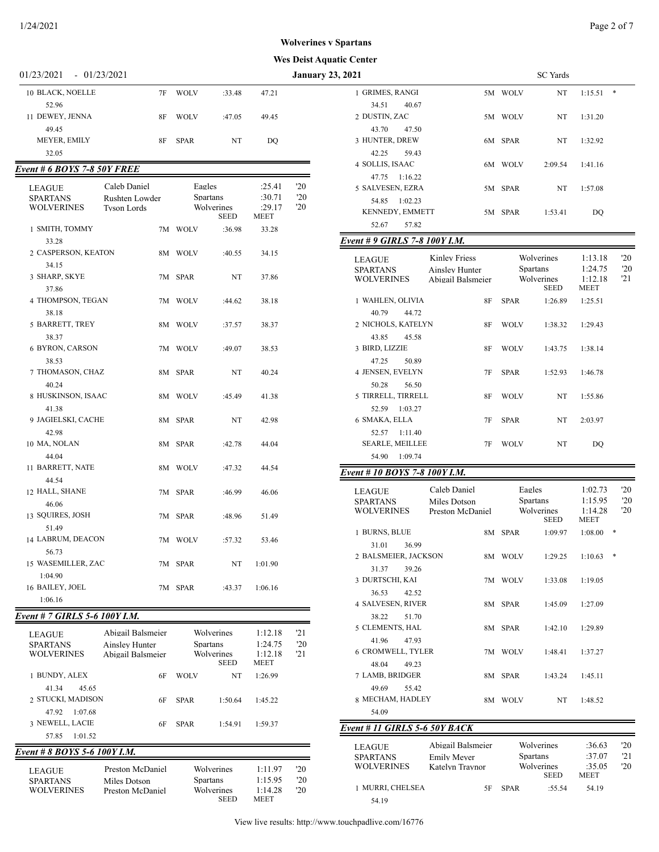### **Worker Spartans**

# **Wes Deist Aquatic Center**

| 1/24/2021                        |                    |             |             |         |     |                                          |    |             |                           |                 | Page 2 of 7 |
|----------------------------------|--------------------|-------------|-------------|---------|-----|------------------------------------------|----|-------------|---------------------------|-----------------|-------------|
|                                  |                    |             |             |         |     | <b>Wolverines v Spartans</b>             |    |             |                           |                 |             |
|                                  |                    |             |             |         |     | <b>Wes Deist Aquatic Center</b>          |    |             |                           |                 |             |
| 01/23/2021<br>$-01/23/2021$      |                    |             |             |         |     | <b>January 23, 2021</b>                  |    |             | <b>SC</b> Yards           |                 |             |
| 10 BLACK, NOELLE                 | 7F                 | <b>WOLV</b> | :33.48      | 47.21   |     | 1 GRIMES, RANGI                          |    | 5M WOLV     | NT                        | $1:15.51$ *     |             |
| 52.96                            |                    |             |             |         |     | 34.51<br>40.67                           |    |             |                           |                 |             |
| 11 DEWEY, JENNA                  | 8F                 | <b>WOLV</b> | :47.05      | 49.45   |     | 2 DUSTIN, ZAC                            |    | 5M WOLV     | NT                        | 1:31.20         |             |
| 49.45                            |                    |             |             |         |     | 43.70<br>47.50                           |    |             |                           |                 |             |
| MEYER, EMILY                     | 8F                 | <b>SPAR</b> | NT          | DQ      |     | 3 HUNTER, DREW                           |    | 6M SPAR     | NT                        | 1:32.92         |             |
| 32.05                            |                    |             |             |         |     | 42.25<br>59.43                           |    |             |                           |                 |             |
| Event # 6 BOYS 7-8 50Y FREE      |                    |             |             |         |     | 4 SOLLIS, ISAAC                          |    | 6M WOLV     | 2:09.54                   | 1:41.16         |             |
|                                  | Caleb Daniel       |             | Eagles      | :25.41  | '20 | 47.75 1:16.22                            |    |             |                           |                 |             |
| <b>LEAGUE</b><br><b>SPARTANS</b> | Rushten Lowder     |             | Spartans    | :30.71  | '20 | 5 SALVESEN, EZRA                         |    | 5M SPAR     | NT                        | 1:57.08         |             |
| <b>WOLVERINES</b>                | <b>Tyson Lords</b> |             | Wolverines  | :29.17  | '20 | 54.85 1:02.23<br>KENNEDY, EMMETT         |    |             |                           |                 |             |
|                                  |                    |             | <b>SEED</b> | MEET    |     | 57.82<br>52.67                           |    | 5M SPAR     | 1:53.41                   | DQ              |             |
| 1 SMITH, TOMMY                   |                    | 7M WOLV     | :36.98      | 33.28   |     |                                          |    |             |                           |                 |             |
| 33.28                            |                    |             |             |         |     | Event # 9 GIRLS 7-8 100Y I.M.            |    |             |                           |                 |             |
| 2 CASPERSON, KEATON              | 8M                 | <b>WOLV</b> | :40.55      | 34.15   |     | <b>Kinley Friess</b><br><b>LEAGUE</b>    |    |             | Wolverines                | 1:13.18         | '20         |
| 34.15<br>3 SHARP, SKYE           |                    | 7M SPAR     | NT          | 37.86   |     | <b>SPARTANS</b><br><b>Ainsley Hunter</b> |    |             | Spartans                  | 1:24.75         | '20         |
| 37.86                            |                    |             |             |         |     | <b>WOLVERINES</b><br>Abigail Balsmeier   |    |             | Wolverines<br><b>SEED</b> | 1:12.18<br>MEET | 21          |
| 4 THOMPSON, TEGAN                |                    | 7M WOLV     | :44.62      | 38.18   |     | 1 WAHLEN, OLIVIA                         | 8F | <b>SPAR</b> | 1:26.89                   | 1:25.51         |             |
| 38.18                            |                    |             |             |         |     | 40.79<br>44.72                           |    |             |                           |                 |             |
| 5 BARRETT, TREY                  |                    | 8M WOLV     | :37.57      | 38.37   |     | 2 NICHOLS, KATELYN                       | 8F | <b>WOLV</b> | 1:38.32                   | 1:29.43         |             |
| 38.37                            |                    |             |             |         |     | 43.85<br>45.58                           |    |             |                           |                 |             |
| 6 BYRON, CARSON                  |                    | 7M WOLV     | :49.07      | 38.53   |     | 3 BIRD, LIZZIE                           | 8F | <b>WOLV</b> | 1:43.75                   | 1:38.14         |             |
| 38.53                            |                    |             |             |         |     | 47.25<br>50.89                           |    |             |                           |                 |             |
| 7 THOMASON, CHAZ                 |                    | 8M SPAR     | NT          | 40.24   |     | 4 JENSEN, EVELYN                         | 7F | <b>SPAR</b> | 1:52.93                   | 1:46.78         |             |
| 40.24                            |                    |             |             |         |     | 50.28<br>56.50                           |    |             |                           |                 |             |
| 8 HUSKINSON, ISAAC               |                    | 8M WOLV     | :45.49      | 41.38   |     | 5 TIRRELL, TIRRELL                       | 8F | <b>WOLV</b> | NT                        | 1:55.86         |             |
| 41.38                            |                    |             |             |         |     | 52.59<br>1:03.27                         |    |             |                           |                 |             |
| 9 JAGIELSKI, CACHE               |                    | 8M SPAR     | NT          | 42.98   |     | 6 SMAKA, ELLA                            | 7F | <b>SPAR</b> | NT                        | 2:03.97         |             |
| 42.98                            |                    |             |             |         |     | 52.57<br>1:11.40                         |    |             |                           |                 |             |
| 10 MA, NOLAN                     |                    | 8M SPAR     | :42.78      | 44.04   |     | <b>SEARLE, MEILLEE</b>                   | 7F | WOLV        | NT                        | DQ              |             |
| 44.04                            |                    |             |             |         |     | 54.90 1:09.74                            |    |             |                           |                 |             |
| 11 BARRETT, NATE<br>44.54        |                    | 8M WOLV     | :47.32      | 44.54   |     | Event # 10 BOYS 7-8 100Y I.M.            |    |             |                           |                 |             |
| 12 HALL, SHANE                   |                    | 7M SPAR     | :46.99      | 46.06   |     | Caleb Daniel<br><b>LEAGUE</b>            |    |             | Eagles                    | 1:02.73         | 20          |
| 46.06                            |                    |             |             |         |     | <b>SPARTANS</b><br>Miles Dotson          |    |             | Spartans                  | 1:15.95         | 20          |
| 13 SQUIRES, JOSH                 |                    | 7M SPAR     | :48.96      | 51.49   |     | <b>WOLVERINES</b><br>Preston McDaniel    |    |             | Wolverines                | 1:14.28         | '20         |
| 51.49                            |                    |             |             |         |     |                                          |    |             | <b>SEED</b>               | MEET            |             |
| 14 LABRUM, DEACON                |                    | 7M WOLV     | :57.32      | 53.46   |     | 1 BURNS, BLUE                            |    | 8M SPAR     | 1:09.97                   | 1:08.00         |             |
| 56.73                            |                    |             |             |         |     | 31.01<br>36.99<br>2 BALSMEIER, JACKSON   |    | 8M WOLV     | 1:29.25                   | $1:10.63$ *     |             |
| 15 WASEMILLER, ZAC               |                    | 7M SPAR     | NT          | 1:01.90 |     | 31.37<br>39.26                           |    |             |                           |                 |             |
| 1:04.90                          |                    |             |             |         |     | 3 DURTSCHI, KAI                          |    | 7M WOLV     | 1:33.08                   | 1:19.05         |             |
| 16 BAILEY, JOEL                  |                    | 7M SPAR     | :43.37      | 1:06.16 |     | 36.53<br>42.52                           |    |             |                           |                 |             |
| 1:06.16                          |                    |             |             |         |     | 4 SALVESEN, RIVER                        |    | 8M SPAR     | 1:45.09                   | 1:27.09         |             |
| Event # 7 GIRLS 5-6 100Y I.M.    |                    |             |             |         |     | 38.22<br>51.70                           |    |             |                           |                 |             |
|                                  |                    |             |             |         |     | <b>5 CLEMENTS HAI</b>                    |    | $QMA$ CDAD  | 1.4210                    | 1.20.80         |             |

| <b>LEAGUE</b><br><b>SPARTANS</b><br>WOLVERINES                             | Abigail Balsmeier<br>Ainsley Hunter<br>Abigail Balsmeier |                            | Wolverines<br>Spartans<br>Wolverines<br><b>SEED</b>        | 1:12.18<br>1:24.75<br>1:12.18<br><b>MEET</b> | 121<br>20<br>121 |
|----------------------------------------------------------------------------|----------------------------------------------------------|----------------------------|------------------------------------------------------------|----------------------------------------------|------------------|
| 1 BUNDY, ALEX                                                              | 6F                                                       | <b>WOLV</b>                | NT                                                         | 1:26.99                                      |                  |
| 41.34<br>45.65<br>2 STUCKI, MADISON<br>1:07.68<br>47.92<br>3 NEWELL, LACIE | 6F<br>6F                                                 | <b>SPAR</b><br><b>SPAR</b> | 1:50.64<br>1:54.91                                         | 1:45.22<br>1:59.37                           |                  |
| 1:01.52<br>57.85                                                           |                                                          |                            |                                                            |                                              |                  |
| Event # 8 BOYS 5-6 100Y I.M.                                               |                                                          |                            |                                                            |                                              |                  |
| <b>LEAGUE</b><br><b>SPARTANS</b><br>WOLVERINES                             | Preston McDaniel<br>Miles Dotson<br>Preston McDaniel     |                            | Wolverines<br><b>Spartans</b><br>Wolverines<br><b>SEED</b> | 1:11.97<br>1:15.95<br>1:14.28<br><b>MEET</b> | '20<br>20<br>'20 |

| uv venici                     |                                |             |                 |                        |              |
|-------------------------------|--------------------------------|-------------|-----------------|------------------------|--------------|
| , 2021                        |                                |             | SC Yards        |                        |              |
|                               |                                |             |                 |                        |              |
| 1 GRIMES, RANGI               | 5M                             | WOLV        | NT              | 1:15.51                | ∗            |
| 34.51<br>40.67                |                                |             |                 |                        |              |
| 2 DUSTIN, ZAC                 | 5M                             | <b>WOLV</b> | NT              | 1:31.20                |              |
| 43.70<br>47.50                |                                |             |                 |                        |              |
|                               |                                |             |                 |                        |              |
| 3 HUNTER, DREW                | 6M                             | <b>SPAR</b> | NT              | 1:32.92                |              |
| 42.25<br>59.43                |                                |             |                 |                        |              |
| 4 SOLLIS, ISAAC               | 6M                             | <b>WOLV</b> | 2:09.54         | 1:41.16                |              |
| 47.75<br>1:16.22              |                                |             |                 |                        |              |
| 5 SALVESEN, EZRA              |                                | <b>SPAR</b> | NT              | 1:57.08                |              |
|                               | 5M                             |             |                 |                        |              |
| 54.85<br>1:02.23              |                                |             |                 |                        |              |
| KENNEDY, EMMETT               | 5M                             | <b>SPAR</b> | 1:53.41         | DQ                     |              |
| 52.67<br>57.82                |                                |             |                 |                        |              |
|                               |                                |             |                 |                        |              |
| Event # 9 GIRLS 7-8 100Y I.M. |                                |             |                 |                        |              |
|                               | <b>Kinley Friess</b>           |             | Wolverines      | 1:13.18                | $20^{\circ}$ |
| <b>LEAGUE</b>                 |                                |             |                 |                        |              |
| <b>SPARTANS</b>               | Ainsley Hunter                 |             | <b>Spartans</b> | 1:24.75                | '20          |
| <b>WOLVERINES</b>             | Abigail Balsmeier              |             | Wolverines      | 1:12.18<br><b>MEET</b> | 21           |
|                               |                                |             | <b>SEED</b>     |                        |              |
| 1 WAHLEN, OLIVIA              | 8F                             | SPAR        | 1:26.89         | 1:25.51                |              |
| 40.79<br>44.72                |                                |             |                 |                        |              |
| 2 NICHOLS, KATELYN            | 8F                             | <b>WOLV</b> | 1:38.32         | 1:29.43                |              |
|                               |                                |             |                 |                        |              |
| 45.58<br>43.85                |                                |             |                 |                        |              |
| 3 BIRD, LIZZIE                | 8F                             | <b>WOLV</b> | 1:43.75         | 1:38.14                |              |
| 47.25<br>50.89                |                                |             |                 |                        |              |
| 4 JENSEN, EVELYN              | 7F                             | SPAR        | 1:52.93         | 1:46.78                |              |
| 50.28<br>56.50                |                                |             |                 |                        |              |
|                               |                                |             |                 |                        |              |
| 5 TIRRELL, TIRRELL            | 8F                             | <b>WOLV</b> | NT              | 1:55.86                |              |
| 52.59<br>1:03.27              |                                |             |                 |                        |              |
| 6 SMAKA, ELLA                 | 7F                             | SPAR        | NT              | 2:03.97                |              |
| 52.57<br>1:11.40              |                                |             |                 |                        |              |
|                               |                                |             |                 |                        |              |
|                               |                                |             |                 |                        |              |
| <b>SEARLE, MEILLEE</b>        | 7F                             | <b>WOLV</b> | NT              | DQ                     |              |
| 54.90<br>1:09.74              |                                |             |                 |                        |              |
|                               |                                |             |                 |                        |              |
| Event # 10 BOYS 7-8 100Y I.M. |                                |             |                 |                        |              |
| <b>LEAGUE</b>                 | Caleb Daniel                   |             | Eagles          | 1:02.73                | '20          |
|                               |                                |             | <b>Spartans</b> | 1:15.95                | '20          |
| <b>SPARTANS</b><br>WOLVERINES | Miles Dotson                   |             | Wolverines      | 1:14.28                | '20          |
|                               | Preston McDaniel               |             | <b>SEED</b>     | MEET                   |              |
|                               |                                |             |                 |                        | ∗            |
| 1 BURNS, BLUE                 |                                | 8M SPAR     | 1:09.97         | 1:08.00                |              |
| 31.01 36.99                   |                                |             |                 |                        |              |
| 2 BALSMEIER, JACKSON          |                                | 8M WOLV     | 1:29.25         | 1:10.63                | $\ast$       |
| 31.37<br>39.26                |                                |             |                 |                        |              |
| 3 DURTSCHI, KAI               |                                |             |                 |                        |              |
|                               |                                | 7M WOLV     | 1:33.08         | 1:19.05                |              |
| 36.53<br>42.52                |                                |             |                 |                        |              |
| 4 SALVESEN, RIVER             | 8M                             | SPAR        | 1:45.09         | 1:27.09                |              |
| 38.22<br>51.70                |                                |             |                 |                        |              |
| 5 CLEMENTS, HAL               |                                |             | 1:42.10         | 1:29.89                |              |
|                               |                                | 8M SPAR     |                 |                        |              |
| 47.93<br>41.96                |                                |             |                 |                        |              |
| <b>6 CROMWELL, TYLER</b>      |                                | 7M WOLV     | 1:48.41         | 1:37.27                |              |
| 48.04<br>49.23                |                                |             |                 |                        |              |
| 7 LAMB, BRIDGER               | 8M                             | SPAR        | 1:43.24         | 1:45.11                |              |
|                               |                                |             |                 |                        |              |
| 49.69<br>55.42                |                                |             |                 |                        |              |
| 8 MECHAM, HADLEY              | 8M                             | WOLV        | NT              | 1:48.52                |              |
| 54.09                         |                                |             |                 |                        |              |
|                               |                                |             |                 |                        |              |
| Event # 11 GIRLS 5-6 50Y BACK |                                |             |                 |                        |              |
| LEAGUE                        | Abigail Balsmeier              |             | Wolverines      | :36.63                 | $20^{\circ}$ |
|                               |                                |             | <b>Spartans</b> | :37.07                 | 21           |
| <b>SPARTANS</b><br>WOLVERINES | Emily Meyer<br>Katelyn Traynor |             | Wolverines      | :35.05                 | 20           |
|                               |                                |             | SEED            | MEET                   |              |
|                               |                                |             |                 |                        |              |
| 1 MURRI, CHELSEA<br>54.19     | 5F                             | SPAR        | :55.54          | 54.19                  |              |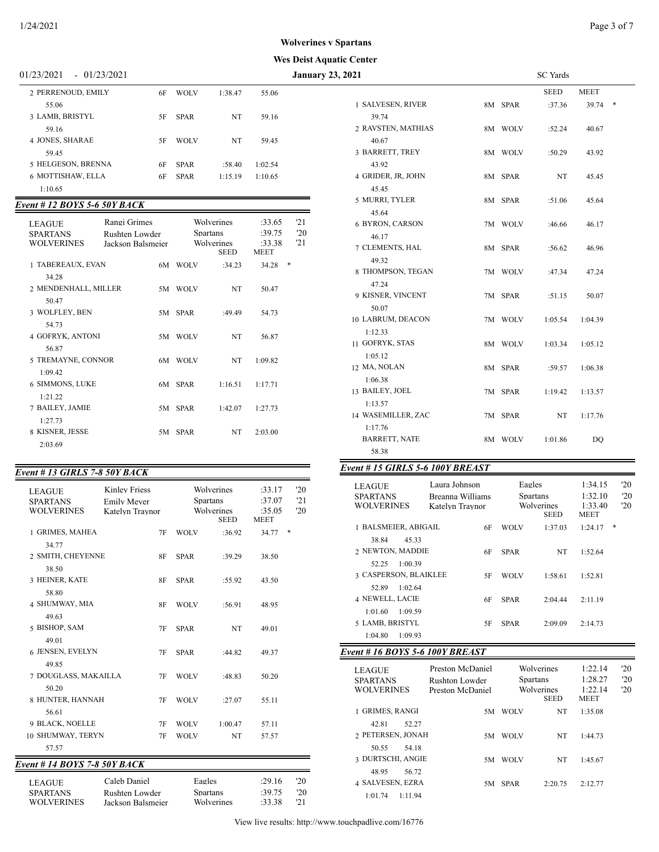#### **Wes Deist Aquatic Center**

01/23/2021 - 01/23/2021 **January 23, 2** 

| 2 PERRENOUD, EMILY | 6F | <b>WOLV</b> | 1:38.47 | 55.06   |  |
|--------------------|----|-------------|---------|---------|--|
| 55.06              |    |             |         |         |  |
| 3 LAMB, BRISTYL    | 5F | <b>SPAR</b> | NT      | 59.16   |  |
| 59.16              |    |             |         |         |  |
| 4 JONES, SHARAE    | 5F | <b>WOLV</b> | NT      | 59.45   |  |
| 59.45              |    |             |         |         |  |
| 5 HELGESON, BRENNA | 6F | <b>SPAR</b> | :58.40  | 1:02.54 |  |
| 6 MOTTISHAW, ELLA  | 6F | <b>SPAR</b> | 1:15.19 | 1:10.65 |  |
| 1:10.65            |    |             |         |         |  |

## *Event # 12 BOYS 5-6 50Y BACK*

| <b>LEAGUE</b><br><b>SPARTANS</b><br><b>WOLVERINES</b> | Rangi Grimes<br>Rushten Lowder<br>Jackson Balsmeier |     |             | Wolverines<br><b>Spartans</b><br>Wolverines | :33.65<br>:39.75<br>:33.38 |     | '21<br>'20<br>'21 |
|-------------------------------------------------------|-----------------------------------------------------|-----|-------------|---------------------------------------------|----------------------------|-----|-------------------|
|                                                       |                                                     |     |             | <b>SEED</b>                                 | <b>MEET</b>                |     |                   |
| 1 TABEREAUX, EVAN                                     |                                                     | 6M  | <b>WOLV</b> | :34.23                                      | 34.28                      | $*$ |                   |
| 34.28                                                 |                                                     |     |             |                                             |                            |     |                   |
| 2 MENDENHALL, MILLER                                  |                                                     |     | 5M WOLV     | NT                                          | 50.47                      |     |                   |
| 50.47                                                 |                                                     |     |             |                                             |                            |     |                   |
| 3 WOLFLEY, BEN                                        |                                                     | 5M. | <b>SPAR</b> | :49.49                                      | 54.73                      |     |                   |
| 54.73                                                 |                                                     |     |             |                                             |                            |     |                   |
| 4 GOFRYK, ANTONI                                      |                                                     |     | 5M WOLV     | NT                                          | 56.87                      |     |                   |
| 56.87                                                 |                                                     |     |             |                                             |                            |     |                   |
| 5 TREMAYNE, CONNOR                                    |                                                     |     | 6M WOLV     | NT                                          | 1:09.82                    |     |                   |
|                                                       |                                                     |     |             |                                             |                            |     |                   |
| 1:09.42                                               |                                                     |     |             |                                             |                            |     |                   |
| 6 SIMMONS, LUKE                                       |                                                     |     | 6M SPAR     | 1:16.51                                     | 1:17.71                    |     |                   |
| 1:21.22                                               |                                                     |     |             |                                             |                            |     |                   |
| 7 BAILEY, JAMIE                                       |                                                     | 5M  | <b>SPAR</b> | 1:42.07                                     | 1:27.73                    |     |                   |
| 1:27.73                                               |                                                     |     |             |                                             |                            |     |                   |
| 8 KISNER, JESSE                                       |                                                     |     | 5M SPAR     | NT                                          | 2:03.00                    |     |                   |
| 2:03.69                                               |                                                     |     |             |                                             |                            |     |                   |
|                                                       |                                                     |     |             |                                             |                            |     |                   |

# *Event # 13 GIRLS 7-8 50Y BACK*

| <i>Lveil + 19 GIRLS 7-0 901 DACR</i>                  |                                                               |             |                                                     |                                           |                   |
|-------------------------------------------------------|---------------------------------------------------------------|-------------|-----------------------------------------------------|-------------------------------------------|-------------------|
| <b>LEAGUE</b><br><b>SPARTANS</b><br><b>WOLVERINES</b> | <b>Kinley Friess</b><br><b>Emily Mever</b><br>Katelyn Traynor |             | Wolverines<br>Spartans<br>Wolverines<br><b>SEED</b> | :33.17<br>:37.07<br>:35.05<br><b>MEET</b> | '20<br>'21<br>'20 |
| 1 GRIMES, MAHEA                                       | 7F                                                            | <b>WOLV</b> | :36.92                                              | 34.77                                     | *                 |
| 34.77<br>2 SMITH, CHEYENNE                            | 8F                                                            | <b>SPAR</b> | :39.29                                              | 38.50                                     |                   |
| 38.50<br>3 HEINER, KATE                               | 8F                                                            | <b>SPAR</b> | :55.92                                              | 43.50                                     |                   |
| 58.80<br>4 SHUMWAY, MIA                               | 8F                                                            | <b>WOLV</b> | :56.91                                              | 48.95                                     |                   |
| 49.63<br>5 BISHOP, SAM                                | 7F                                                            | <b>SPAR</b> | NT                                                  | 49.01                                     |                   |
| 49.01<br>6 JENSEN, EVELYN                             | 7F                                                            | <b>SPAR</b> | :44.82                                              | 49.37                                     |                   |
| 49.85                                                 |                                                               |             |                                                     |                                           |                   |
| 7 DOUGLASS, MAKAILLA<br>50.20                         | 7F                                                            | <b>WOLV</b> | :48.83                                              | 50.20                                     |                   |
| 8 HUNTER, HANNAH<br>56.61                             | 7F                                                            | <b>WOLV</b> | :27.07                                              | 55.11                                     |                   |
| 9 BLACK, NOELLE                                       | 7F                                                            | <b>WOLV</b> | 1:00.47                                             | 57.11                                     |                   |
| 10 SHUMWAY, TERYN                                     | 7F                                                            | <b>WOLV</b> | NT                                                  | 57.57                                     |                   |
| 57.57                                                 |                                                               |             |                                                     |                                           |                   |
| Event # 14 BOYS 7-8 50Y BACK                          |                                                               |             |                                                     |                                           |                   |
| <b>LEAGUE</b><br><b>SPARTANS</b><br><b>WOLVERINES</b> | Caleb Daniel<br>Rushten Lowder<br>Jackson Balsmeier           |             | Eagles<br><b>Spartans</b><br>Wolverines             | :29.16<br>:39.75<br>:33.38                | '20<br>'20<br>'21 |

| 2021                       |    |             | <b>SC</b> Yards |         |   |
|----------------------------|----|-------------|-----------------|---------|---|
|                            |    |             | SEED            | MEET    |   |
| 1 SALVESEN, RIVER          |    | 8M SPAR     | :37.36          | 39.74   | * |
| 39.74                      |    |             |                 |         |   |
| 2 RAVSTEN, MATHIAS         |    | 8M WOLV     | :52.24          | 40.67   |   |
| 40.67                      |    |             |                 |         |   |
| 3 BARRETT, TREY            |    | 8M WOLV     | :50.29          | 43.92   |   |
| 43.92                      |    |             |                 |         |   |
| 4 GRIDER, JR, JOHN         | 8M | <b>SPAR</b> | NT              | 45.45   |   |
| 45.45                      |    |             |                 |         |   |
| 5 MURRI, TYLER             | 8М | <b>SPAR</b> | :51.06          | 45.64   |   |
| 45.64                      |    |             |                 |         |   |
| 6 BYRON, CARSON            |    | 7M WOLV     | :46.66          | 46.17   |   |
| 46.17                      |    |             |                 |         |   |
| 7 CLEMENTS, HAL            | 8M | <b>SPAR</b> | :56.62          | 46.96   |   |
| 49.32                      |    |             |                 |         |   |
| 8 THOMPSON, TEGAN          |    | 7M WOLV     | :47.34          | 47.24   |   |
| 47.24                      |    |             |                 |         |   |
| 9 KISNER, VINCENT          |    | 7M SPAR     | :51.15          | 50.07   |   |
| 50.07<br>10 LABRUM, DEACON |    | 7M WOLV     | 1:05.54         | 1:04.39 |   |
| 1:12.33                    |    |             |                 |         |   |
| 11 GOFRYK, STAS            |    | 8M WOLV     | 1:03.34         | 1:05.12 |   |
| 1:05.12                    |    |             |                 |         |   |
| 12 MA, NOLAN               | 8М | <b>SPAR</b> | :59.57          | 1:06.38 |   |
| 1:06.38                    |    |             |                 |         |   |
| 13 BAILEY, JOEL            |    | 7M SPAR     | 1:19.42         | 1:13.57 |   |
| 1:13.57                    |    |             |                 |         |   |
| 14 WASEMILLER, ZAC         | 7M | <b>SPAR</b> | NT              | 1:17.76 |   |
| 1:17.76                    |    |             |                 |         |   |
| <b>BARRETT, NATE</b>       |    | 8M WOLV     | 1:01.86         | DQ      |   |
| 58.38                      |    |             |                 |         |   |
|                            |    |             |                 |         |   |

# *Event # 15 GIRLS 5-6 100Y BREAST*

| <b>LEAGUE</b><br><b>SPARTANS</b><br><b>WOLVERINES</b>       | Laura Johnson<br>Breanna Williams<br>Katelyn Traynor |    | Eagles<br><b>Spartans</b> | Wolverines<br><b>SEED</b> | 1:34.15<br>1:32.10<br>1:33.40<br><b>MEET</b> | '20<br>'20<br>'20 |
|-------------------------------------------------------------|------------------------------------------------------|----|---------------------------|---------------------------|----------------------------------------------|-------------------|
| 1 BALSMEIER, ABIGAIL                                        |                                                      | 6F | <b>WOLV</b>               | 1:37.03                   | 1:24.17                                      | *                 |
| 38.84<br>45.33<br>2 NEWTON, MADDIE                          |                                                      | 6F | <b>SPAR</b>               | NT                        | 1:52.64                                      |                   |
| 1:00.39<br>52.25<br><b>3 CASPERSON, BLAIKLEE</b>            |                                                      | 5F | <b>WOLV</b>               | 1:58.61                   | 1:52.81                                      |                   |
| 1:02.64<br>52.89<br><b>4 NEWELL, LACIE</b>                  |                                                      | 6F | <b>SPAR</b>               | 2:04.44                   | 2:11.19                                      |                   |
| 1:01.60<br>1:09.59<br>5 LAMB, BRISTYL<br>1:04.80<br>1:09.93 |                                                      | 5F | <b>SPAR</b>               | 2:09.09                   | 2:14.73                                      |                   |

# *Event # 16 BOYS 5-6 100Y BREAST*

| <b>LEAGUE</b><br><b>SPARTANS</b><br><b>WOLVERINES</b> | Preston McDaniel<br>Rushton Lowder<br>Preston McDaniel | <b>Spartans</b> | Wolverines<br>Wolverines<br><b>SEED</b> | 1:22.14<br>1:28.27<br>1:22.14<br><b>MEET</b> | $20^{\circ}$<br>'20<br>20 |
|-------------------------------------------------------|--------------------------------------------------------|-----------------|-----------------------------------------|----------------------------------------------|---------------------------|
| 1 GRIMES, RANGI                                       | 5M                                                     | <b>WOLV</b>     | NT                                      | 1:35.08                                      |                           |
| 52.27<br>42.81                                        |                                                        |                 |                                         |                                              |                           |
| 2 PETERSEN, JONAH                                     | 5M                                                     | <b>WOLV</b>     | NT                                      | 1:44.73                                      |                           |
| 50.55<br>54.18                                        |                                                        |                 |                                         |                                              |                           |
| 3 DURTSCHI, ANGIE                                     | 5M.                                                    | <b>WOLV</b>     | NT                                      | 1:45.67                                      |                           |
| 48.95<br>56.72                                        |                                                        |                 |                                         |                                              |                           |
| 4 SALVESEN, EZRA                                      | 5M.                                                    | <b>SPAR</b>     | 2:20.75                                 | 2:12.77                                      |                           |
| 1:11.94<br>1:01.74                                    |                                                        |                 |                                         |                                              |                           |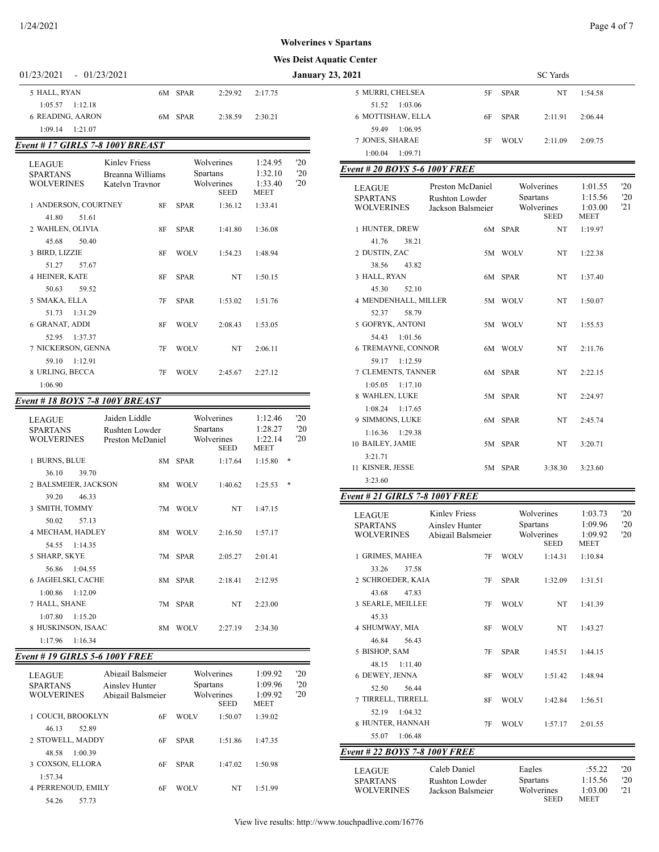#### **Wes Deist Aquatic Center**

| $01/23/2021 - 01/23/2021$ |         |         |         | Janı |
|---------------------------|---------|---------|---------|------|
| 5 HALL, RYAN              | 6M SPAR | 2:29.92 | 2:17.75 |      |
| $1:05.57$ $1:12.18$       |         |         |         |      |
| <b>6 READING, AARON</b>   | 6M SPAR | 2:38.59 | 2:30.21 |      |
| $1:09.14$ $1:21.07$       |         |         |         |      |
|                           |         |         |         |      |

#### *Event # 17 GIRLS 7-8 100Y BREAST* LEAGUE Kinley Friess Wolverines 1:24.95 '20<br>SPARTANS Breanna Williams Spartans 1:32.10 '20 SPARTANS Breanna Williams Spartans 1:32.10 '20<br>WOLVERINES Katelyn Traynor Wolverines 1:33.40 '20 Katelyn Traynor Wolverines<br>SEED MEET 1 ANDERSON, COURTNEY 8F SPAR 1:36.12 1:33.41 41.80 51.61 2 WAHLEN, OLIVIA 8F SPAR 1:41.80 1:36.08 45.68 50.40 3 BIRD, LIZZIE 8F WOLV 1:54.23 1:48.94 51.27 57.67 4 HEINER, KATE 8F SPAR NT 1:50.15 50.63 59.52 5 SMAKA, ELLA 7F SPAR 1:53.02 1:51.76 51.73 1:31.29 6 GRANAT, ADDI 8F WOLV 2:08.43 1:53.05 52.95 1:37.37 7 NICKERSON, GENNA 7F WOLV NT 2:06.11 59.10 1:12.91 8 URLING, BECCA 7F WOLV 2:45.67 2:27.12 1:06.90

#### *Event # 18 BOYS 7-8 100Y BREAST*

| LEAGUE<br><b>SPARTANS</b><br><b>WOLVERINES</b> | Jaiden Liddle<br>Rushten Lowder<br>Preston McDaniel |             | Wolverines<br><b>Spartans</b><br>Wolverines<br><b>SEED</b> | 1:12.46<br>1:28.27<br>1:22.14<br><b>MEET</b> |   | 20<br>'20<br>20 |
|------------------------------------------------|-----------------------------------------------------|-------------|------------------------------------------------------------|----------------------------------------------|---|-----------------|
| 1 BURNS, BLUE                                  |                                                     | 8M SPAR     | 1:17.64                                                    | 1:15.80                                      | * |                 |
| 36.10<br>39.70                                 |                                                     |             |                                                            |                                              |   |                 |
| 2 BALSMEIER, JACKSON                           |                                                     | 8M WOLV     | 1:40.62                                                    | 1:25.53                                      | * |                 |
| 39.20<br>46.33                                 |                                                     |             |                                                            |                                              |   |                 |
| 3 SMITH, TOMMY                                 |                                                     | 7M WOLV     | NT                                                         | 1:47.15                                      |   |                 |
| 50.02<br>57.13                                 |                                                     |             |                                                            |                                              |   |                 |
| 4 MECHAM, HADLEY                               | 8M                                                  | <b>WOLV</b> | 2:16.50                                                    | 1:57.17                                      |   |                 |
| 54.55<br>1:14.35                               |                                                     |             |                                                            |                                              |   |                 |
| 5 SHARP, SKYE                                  |                                                     | 7M SPAR     | 2:05.27                                                    | 2:01.41                                      |   |                 |
| 1:04.55<br>56.86                               |                                                     |             |                                                            |                                              |   |                 |
| 6 JAGIELSKI, CACHE                             |                                                     | 8M SPAR     | 2:18.41                                                    | 2:12.95                                      |   |                 |
| 1:00.86<br>1:12.09                             |                                                     |             |                                                            |                                              |   |                 |
| 7 HALL, SHANE                                  |                                                     | 7M SPAR     | NT                                                         | 2:23.00                                      |   |                 |
| $1:07.80$ $1:15.20$                            |                                                     |             |                                                            |                                              |   |                 |
| 8 HUSKINSON, ISAAC                             | 8M                                                  | <b>WOLV</b> | 2:27.19                                                    | 2:34.30                                      |   |                 |
| 1:17.96<br>1:16.34                             |                                                     |             |                                                            |                                              |   |                 |

#### *Event # 19 GIRLS 5-6 100Y FREE*

| <b>LEAGUE</b><br><b>SPARTANS</b><br><b>WOLVERINES</b> | Abigail Balsmeier<br>Ainsley Hunter<br>Abigail Balsmeier | <b>Spartans</b> | Wolverines<br>Wolverines<br><b>SEED</b> | 1:09.92<br>1:09.96<br>1:09.92<br><b>MEET</b> | '20<br>'20<br>'20 |
|-------------------------------------------------------|----------------------------------------------------------|-----------------|-----------------------------------------|----------------------------------------------|-------------------|
| 1 COUCH, BROOKLYN                                     | 6F                                                       | <b>WOLV</b>     | 1:50.07                                 | 1:39.02                                      |                   |
| 52.89<br>46.13                                        |                                                          |                 |                                         |                                              |                   |
| 2 STOWELL, MADDY                                      | 6F                                                       | <b>SPAR</b>     | 1:51.86                                 | 1:47.35                                      |                   |
| 1:00.39<br>48.58                                      |                                                          |                 |                                         |                                              |                   |
| 3 COXSON, ELLORA                                      | 6F                                                       | <b>SPAR</b>     | 1:47.02                                 | 1:50.98                                      |                   |
| 1:57.34                                               |                                                          |                 |                                         |                                              |                   |
| <b>4 PERRENOUD, EMILY</b>                             | 6F                                                       | <b>WOLV</b>     | NT                                      | 1:51.99                                      |                   |
| 54.26<br>57.73                                        |                                                          |                 |                                         |                                              |                   |

| 01/23/2021 - 01/23/2021                |                                   |                               |             |                    | <b>January 23, 2021</b> |                                       |                       |             | <b>SC</b> Yards    |                 |              |
|----------------------------------------|-----------------------------------|-------------------------------|-------------|--------------------|-------------------------|---------------------------------------|-----------------------|-------------|--------------------|-----------------|--------------|
| 5 HALL, RYAN                           |                                   | 6M SPAR                       | 2:29.92     | 2:17.75            |                         | 5 MURRI. CHELSEA                      | 5F                    | <b>SPAR</b> | NT                 | 1:54.58         |              |
| $1:05.57$ $1:12.18$                    |                                   |                               |             |                    |                         | 51.52 1:03.06                         |                       |             |                    |                 |              |
| 6 READING, AARON                       |                                   | 6M SPAR                       | 2:38.59     | 2:30.21            |                         | 6 MOTTISHAW, ELLA                     | 6F                    | <b>SPAR</b> | 2:11.91            | 2:06.44         |              |
| 1:09.14 1:21.07                        |                                   |                               |             |                    |                         | 59.49 1:06.95                         |                       |             |                    |                 |              |
| <b>Event #17 GIRLS 7-8 100Y BREAST</b> |                                   |                               |             |                    |                         | 7 JONES, SHARAE                       | 5F                    | <b>WOLV</b> | 2:11.09            | 2:09.75         |              |
|                                        |                                   |                               |             |                    |                         | 1:00.04 1:09.71                       |                       |             |                    |                 |              |
| ${\rm LEAGUE}$<br><b>SPARTANS</b>      | Kinley Friess<br>Breanna Williams | Wolverines<br><b>Spartans</b> |             | 1:24.95<br>1:32.10 | '20<br>'20              | Event # 20 BOYS 5-6 100Y FREE         |                       |             |                    |                 |              |
| <b>WOLVERINES</b>                      | Katelyn Traynor                   | Wolverines                    |             | 1:33.40            | '20                     |                                       | Preston McDaniel      |             | Wolverines         | 1:01.55         | 20           |
|                                        |                                   |                               | <b>SEED</b> | <b>MEET</b>        |                         | <b>LEAGUE</b><br><b>SPARTANS</b>      | Rushton Lowder        |             | Spartans           | 1:15.56         | '20          |
| 1 ANDERSON, COURTNEY<br>41.80<br>51.61 | 8F                                | <b>SPAR</b>                   | 1:36.12     | 1:33.41            |                         | <b>WOLVERINES</b>                     | Jackson Balsmeier     |             | Wolverines<br>SEED | 1:03.00<br>MEET | '21          |
| 2 WAHLEN, OLIVIA                       | 8F                                | <b>SPAR</b>                   | 1:41.80     | 1:36.08            |                         | 1 HUNTER, DREW                        |                       | 6M SPAR     | NT                 | 1:19.97         |              |
| 45.68<br>50.40                         |                                   |                               |             |                    |                         | 41.76<br>38.21                        |                       |             |                    |                 |              |
| 3 BIRD, LIZZIE                         | 8F                                | <b>WOLV</b>                   | 1:54.23     | 1:48.94            |                         | 2 DUSTIN, ZAC                         |                       | 5M WOLV     | NT                 | 1:22.38         |              |
| 51.27<br>57.67                         |                                   |                               |             |                    |                         | 38.56<br>43.82                        |                       |             |                    |                 |              |
| 4 HEINER, KATE                         | 8F                                | <b>SPAR</b>                   | NT          | 1:50.15            |                         | 3 HALL, RYAN                          |                       | 6M SPAR     | NT                 | 1:37.40         |              |
| 50.63<br>59.52                         |                                   |                               |             |                    |                         | 45.30<br>52.10                        |                       |             |                    |                 |              |
| 5 SMAKA, ELLA                          | 7F                                | <b>SPAR</b>                   | 1:53.02     | 1:51.76            |                         | 4 MENDENHALL, MILLER                  |                       | 5M WOLV     | NT                 | 1:50.07         |              |
| 51.73 1:31.29                          |                                   |                               |             |                    |                         | 52.37<br>58.79                        |                       |             |                    |                 |              |
| 6 GRANAT, ADDI                         | 8F                                | <b>WOLV</b>                   | 2:08.43     | 1:53.05            |                         | 5 GOFRYK, ANTONI                      |                       | 5M WOLV     | NT                 | 1:55.53         |              |
| 52.95 1:37.37                          |                                   |                               |             |                    |                         | 54.43 1:01.56                         |                       |             |                    |                 |              |
| 7 NICKERSON, GENNA                     | 7F                                | <b>WOLV</b>                   | NT          | 2:06.11            |                         | 6 TREMAYNE, CONNOR                    |                       | 6M WOLV     | NT                 | 2:11.76         |              |
| 59.10 1:12.91                          |                                   |                               |             |                    |                         | 59.17 1:12.59                         |                       |             |                    |                 |              |
| 8 URLING, BECCA                        | 7F                                | <b>WOLV</b>                   | 2:45.67     | 2:27.12            |                         | 7 CLEMENTS, TANNER                    |                       | 6M SPAR     | NT                 | 2:22.15         |              |
| 1:06.90                                |                                   |                               |             |                    |                         | $1:05.05$ $1:17.10$                   |                       |             |                    |                 |              |
| vent # 18 BOYS 7-8 100Y BREAST         |                                   |                               |             |                    |                         | 8 WAHLEN, LUKE                        |                       | 5M SPAR     | NT                 | 2:24.97         |              |
|                                        | Jaiden Liddle                     | Wolverines                    |             | 1:12.46            | '20                     | $1:08.24$ 1:17.65                     |                       |             |                    |                 |              |
| <b>LEAGUE</b><br><b>SPARTANS</b>       | Rushten Lowder                    | <b>Spartans</b>               |             | 1:28.27            | '20                     | 9 SIMMONS, LUKE                       |                       | 6M SPAR     | NT                 | 2:45.74         |              |
| <b>WOLVERINES</b>                      | Preston McDaniel                  | Wolverines                    |             | 1:22.14            | '20                     | 1:16.36 1:29.38                       |                       |             |                    |                 |              |
|                                        |                                   |                               | <b>SEED</b> | MEET               |                         | 10 BAILEY, JAMIE                      |                       | 5M SPAR     | NT                 | 3:20.71         |              |
| 1 BURNS, BLUE                          |                                   | 8M SPAR                       | 1:17.64     | 1:15.80<br>$\ast$  |                         | 3:21.71<br>11 KISNER, JESSE           |                       | 5M SPAR     | 3:38.30            | 3:23.60         |              |
| 39.70<br>36.10                         |                                   |                               |             |                    |                         | 3:23.60                               |                       |             |                    |                 |              |
| 2 BALSMEIER, JACKSON                   |                                   | 8M WOLV                       | 1:40.62     | $1:25.53$ *        |                         |                                       |                       |             |                    |                 |              |
| 39.20<br>46.33                         |                                   |                               |             |                    |                         | <b>Event # 21 GIRLS 7-8 100Y FREE</b> |                       |             |                    |                 |              |
| 3 SMITH, TOMMY                         |                                   | 7M WOLV                       | NT          | 1:47.15            |                         | <b>LEAGUE</b>                         | <b>Kinley Friess</b>  |             | Wolverines         | 1:03.73         | $20^{\circ}$ |
| 50.02<br>57.13                         |                                   |                               |             |                    |                         | <b>SPARTANS</b>                       | <b>Ainsley Hunter</b> |             | Spartans           | 1:09.96         | '20          |
| 4 MECHAM, HADLEY                       |                                   | 8M WOLV                       | 2:16.50     | 1:57.17            |                         | <b>WOLVERINES</b>                     | Abigail Balsmeier     |             | Wolverines         | 1:09.92         | $20^{\circ}$ |
| 54.55 1:14.35                          |                                   |                               |             |                    |                         |                                       |                       |             | SEED               | MEET            |              |
| 5 SHARP, SKYE                          |                                   | 7M SPAR                       | 2:05.27     | 2:01.41            |                         | 1 GRIMES, MAHEA                       |                       | 7F WOLV     | 1:14.31            | 1:10.84         |              |
| 56.86 1:04.55                          |                                   |                               |             |                    |                         | 33.26<br>37.58                        |                       |             |                    |                 |              |
| 6 JAGIELSKI, CACHE                     |                                   | 8M SPAR                       | 2:18.41     | 2:12.95            |                         | 2 SCHROEDER, KAIA                     | 7F                    | SPAR        | 1:32.09            | 1:31.51         |              |
| 1:00.86 1:12.09                        |                                   |                               |             |                    |                         | 43.68<br>47.83<br>3 SEARLE, MEILLEE   |                       |             |                    |                 |              |
| 7 HALL, SHANE<br>$1:07.80$ $1:15.20$   |                                   | 7M SPAR                       | NT          | 2:23.00            |                         | 45.33                                 | 7F                    | <b>WOLV</b> | NT                 | 1:41.39         |              |
| 8 HUSKINSON, ISAAC                     |                                   | 8M WOLV                       | 2:27.19     | 2:34.30            |                         | 4 SHUMWAY, MIA                        | 8F                    | <b>WOLV</b> | NT                 | 1:43.27         |              |
| 1:17.96 1:16.34                        |                                   |                               |             |                    |                         | 46.84<br>56.43                        |                       |             |                    |                 |              |
|                                        |                                   |                               |             |                    |                         | 5 BISHOP, SAM                         | 7F                    | SPAR        | 1:45.51            | 1:44.15         |              |
| <b>Event # 19 GIRLS 5-6 100Y FREE</b>  |                                   |                               |             |                    |                         | 48.15 1:11.40                         |                       |             |                    |                 |              |
| <b>LEAGUE</b>                          | Abigail Balsmeier                 | Wolverines                    |             | 1:09.92            | 20                      | 6 DEWEY, JENNA                        |                       | 8F WOLV     | 1:51.42            | 1:48.94         |              |
| <b>SPARTANS</b>                        | Ainsley Hunter                    | Spartans                      |             | 1:09.96            | '20                     | 52.50 56.44                           |                       |             |                    |                 |              |

7 TIRRELL, TIRRELL 8F WOLV 1:42.84 1:56.51

8 HUNTER, HANNAH 7F WOLV 1:57.17 2:01.55

LEAGUE Caleb Daniel Eagles :55.22 '20<br>SPARTANS Rushton Lowder Spartans 1:15.56 '20 SPARTANS Rushton Lowder Spartans 1:15.56 '20<br>WOLVERINES Jackson Balsmeier Wolverines 1:03.00 '21 Jackson Balsmeier Wolverines<br>SEED

MEET

52.19 1:04.32

55.07 1:06.48 *Event # 22 BOYS 7-8 100Y FREE*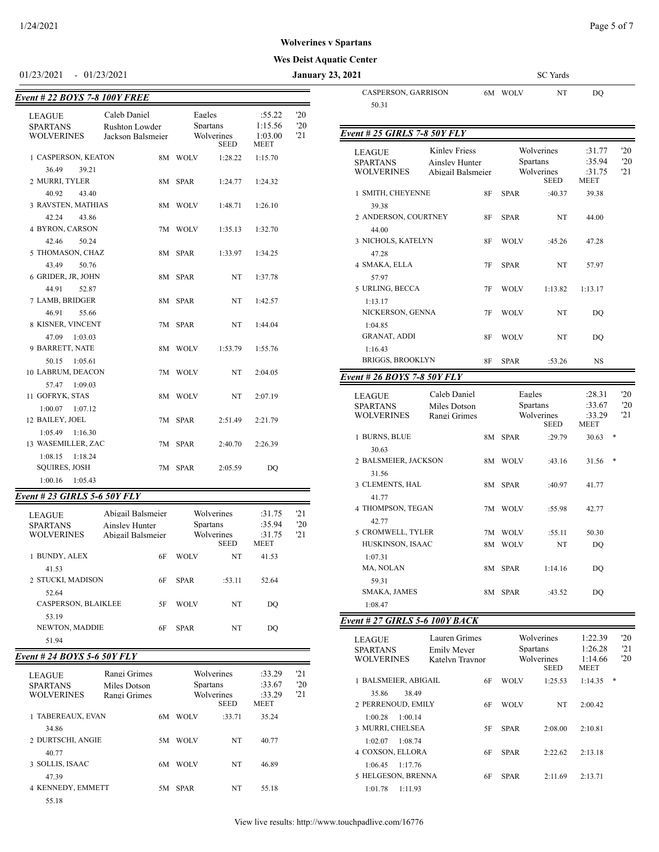#### **Wes Deist Aquatic Center**

01/23/2021 - 01/23/2021 **January 23, 2021** SC Yards

| Event # 22 BOYS 7-8 100Y FREE             |                                            |             |                               |                    |            | CASPERSON, GARRISON                                   |                                                             | 6M WOLV     | NT                                   | DQ                         |                   |
|-------------------------------------------|--------------------------------------------|-------------|-------------------------------|--------------------|------------|-------------------------------------------------------|-------------------------------------------------------------|-------------|--------------------------------------|----------------------------|-------------------|
| <b>LEAGUE</b>                             | Caleb Daniel                               |             | Eagles                        | :55.22             | '20        | 50.31                                                 |                                                             |             |                                      |                            |                   |
| <b>SPARTANS</b><br><b>WOLVERINES</b>      | Rushton Lowder<br>Jackson Balsmeier        |             | <b>Spartans</b><br>Wolverines | 1:15.56<br>1:03.00 | '20<br>'21 | Event # 25 GIRLS 7-8 50Y FLY                          |                                                             |             |                                      |                            |                   |
| 1 CASPERSON, KEATON<br>36.49<br>39.21     |                                            | 8M WOLV     | <b>SEED</b><br>1:28.22        | MEET<br>1:15.70    |            | <b>LEAGUE</b><br><b>SPARTANS</b><br><b>WOLVERINES</b> | <b>Kinley Friess</b><br>Ainsley Hunter<br>Abigail Balsmeier |             | Wolverines<br>Spartans<br>Wolverines | :31.77<br>:35.94<br>:31.75 | '20<br>'20<br>'21 |
| 2 MURRI, TYLER                            |                                            | 8M SPAR     | 1:24.77                       | 1:24.32            |            |                                                       |                                                             |             | <b>SEED</b>                          | MEET                       |                   |
| 40.92<br>43.40                            |                                            |             |                               |                    |            | 1 SMITH, CHEYENNE                                     | 8F                                                          | SPAR        | :40.37                               | 39.38                      |                   |
| 3 RAVSTEN, MATHIAS                        |                                            | 8M WOLV     | 1:48.71                       | 1:26.10            |            | 39.38                                                 |                                                             |             |                                      |                            |                   |
| 42.24<br>43.86<br>4 BYRON, CARSON         |                                            | 7M WOLV     | 1:35.13                       | 1:32.70            |            | 2 ANDERSON, COURTNEY<br>44.00                         | <b>8F</b>                                                   | SPAR        | NT                                   | 44.00                      |                   |
| 42.46<br>50.24                            |                                            |             |                               |                    |            | 3 NICHOLS, KATELYN                                    | 8F                                                          | <b>WOLV</b> | :45.26                               | 47.28                      |                   |
| 5 THOMASON, CHAZ                          |                                            | 8M SPAR     | 1:33.97                       | 1:34.25            |            | 47.28                                                 |                                                             |             |                                      |                            |                   |
| 43.49<br>50.76                            |                                            |             |                               |                    |            | 4 SMAKA, ELLA                                         | 7F                                                          | <b>SPAR</b> | NT                                   | 57.97                      |                   |
| 6 GRIDER, JR, JOHN                        |                                            | 8M SPAR     | NT                            | 1:37.78            |            | 57.97                                                 |                                                             |             |                                      |                            |                   |
| 44.91<br>52.87                            |                                            |             |                               |                    |            | 5 URLING, BECCA                                       | 7F                                                          | WOLV        | 1:13.82                              | 1:13.17                    |                   |
| 7 LAMB, BRIDGER                           |                                            | 8M SPAR     | NT                            | 1:42.57            |            | 1:13.17                                               |                                                             |             |                                      |                            |                   |
| 46.91<br>55.66                            |                                            |             |                               |                    |            | NICKERSON, GENNA                                      | 7F                                                          | <b>WOLV</b> | NT                                   | DQ                         |                   |
| 8 KISNER, VINCENT<br>47.09 1:03.03        |                                            | 7M SPAR     | NT                            | 1:44.04            |            | 1:04.85<br><b>GRANAT, ADDI</b>                        | 8F                                                          | <b>WOLV</b> | NT                                   | DQ                         |                   |
| 9 BARRETT, NATE                           |                                            | 8M WOLV     | 1:53.79                       | 1:55.76            |            | 1:16.43                                               |                                                             |             |                                      |                            |                   |
| 50.15 1:05.61                             |                                            |             |                               |                    |            | <b>BRIGGS, BROOKLYN</b>                               |                                                             | 8F SPAR     | :53.26                               | <b>NS</b>                  |                   |
| 10 LABRUM, DEACON                         |                                            | 7M WOLV     | NT                            | 2:04.05            |            | Event # 26 BOYS 7-8 50Y FLY                           |                                                             |             |                                      |                            |                   |
| 57.47 1:09.03                             |                                            |             |                               |                    |            |                                                       |                                                             |             |                                      |                            |                   |
| 11 GOFRYK, STAS                           |                                            | 8M WOLV     | NT                            | 2:07.19            |            | LEAGUE                                                | Caleb Daniel                                                |             | Eagles                               | :28.31                     | '20               |
| $1:00.07$ $1:07.12$                       |                                            |             |                               |                    |            | <b>SPARTANS</b><br><b>WOLVERINES</b>                  | Miles Dotson<br>Rangi Grimes                                |             | Spartans<br>Wolverines               | :33.67<br>:33.29           | '20<br>21         |
| 12 BAILEY, JOEL                           |                                            | 7M SPAR     | 2:51.49                       | 2:21.79            |            |                                                       |                                                             |             | <b>SEED</b>                          | <b>MEET</b>                |                   |
| $1:05.49$ $1:16.30$                       |                                            |             |                               |                    |            | 1 BURNS, BLUE                                         |                                                             | 8M SPAR     | :29.79                               | 30.63                      | $\ast$            |
| 13 WASEMILLER, ZAC<br>$1:08.15$ $1:18.24$ |                                            | 7M SPAR     | 2:40.70                       | 2:26.39            |            | 30.63                                                 |                                                             |             |                                      |                            |                   |
| <b>SQUIRES, JOSH</b>                      |                                            | 7M SPAR     | 2:05.59                       | DQ                 |            | 2 BALSMEIER, JACKSON                                  |                                                             | 8M WOLV     | :43.16                               | $31.56$ *                  |                   |
| $1:00.16$ $1:05.43$                       |                                            |             |                               |                    |            | 31.56                                                 |                                                             |             |                                      |                            |                   |
|                                           |                                            |             |                               |                    |            | 3 CLEMENTS, HAL                                       |                                                             | 8M SPAR     | :40.97                               | 41.77                      |                   |
| Event # 23 GIRLS 5-6 50Y FLY              |                                            |             |                               |                    |            | 41.77<br>4 THOMPSON, TEGAN                            |                                                             | 7M WOLV     | :55.98                               | 42.77                      |                   |
| <b>LEAGUE</b>                             | Abigail Balsmeier                          |             | Wolverines                    | :31.75             | 21         | 42.77                                                 |                                                             |             |                                      |                            |                   |
| <b>SPARTANS</b><br><b>WOLVERINES</b>      | <b>Ainsley Hunter</b><br>Abigail Balsmeier |             | <b>Spartans</b><br>Wolverines | :35.94<br>:31.75   | '20<br>'21 | 5 CROMWELL, TYLER                                     |                                                             | 7M WOLV     | :55.11                               | 50.30                      |                   |
|                                           |                                            |             | <b>SEED</b>                   | MEET               |            | HUSKINSON, ISAAC                                      |                                                             | 8M WOLV     | NT                                   | DO                         |                   |
| 1 BUNDY, ALEX                             | 6F                                         | WOLV        | NT                            | 41.53              |            | 1:07.31                                               |                                                             |             |                                      |                            |                   |
| 41.53                                     |                                            |             |                               |                    |            | MA, NOLAN                                             |                                                             | 8M SPAR     | 1:14.16                              | DQ                         |                   |
| 2 STUCKI, MADISON                         | 6F                                         | <b>SPAR</b> | :53.11                        | 52.64              |            | 59.31                                                 |                                                             |             |                                      |                            |                   |
| 52.64                                     |                                            |             |                               |                    |            | SMAKA, JAMES                                          |                                                             | 8M SPAR     | :43.52                               | DQ                         |                   |
| CASPERSON, BLAIKLEE                       |                                            | 5F WOLV     | NT                            | DQ                 |            | 1:08.47                                               |                                                             |             |                                      |                            |                   |
| 53.19                                     |                                            |             |                               |                    |            | Event # 27 GIRLS 5-6 100Y BACK                        |                                                             |             |                                      |                            |                   |
| NEWTON, MADDIE<br>51.94                   | 6F                                         | <b>SPAR</b> | NT                            | DQ                 |            | LEAGUE                                                | Lauren Grimes                                               |             | Wolverines                           | 1:22.39                    | '20               |
|                                           |                                            |             |                               |                    |            | <b>SPARTANS</b>                                       | Emily Meyer                                                 |             | Spartans                             | 1:26.28                    | '21               |
| Event # 24 BOYS 5-6 50Y FLY               |                                            |             |                               |                    |            | <b>WOLVERINES</b>                                     | Katelyn Traynor                                             |             | Wolverines<br><b>SEED</b>            | 1:14.66<br>MEET            | '20               |
| LEAGUE                                    | Rangi Grimes                               |             | Wolverines                    | :33.29             | '21        | 1 BALSMEIER, ABIGAIL                                  | 6F                                                          | WOLV        | 1:25.53                              | $1:14.35$ *                |                   |
| <b>SPARTANS</b><br><b>WOLVERINES</b>      | Miles Dotson                               |             | <b>Spartans</b><br>Wolverines | :33.67<br>:33.29   | '20<br>'21 | 35.86<br>38.49                                        |                                                             |             |                                      |                            |                   |
|                                           | Rangi Grimes                               |             | <b>SEED</b>                   | MEET               |            | 2 PERRENOUD, EMILY                                    | 6F                                                          | <b>WOLV</b> | NT                                   | 2:00.42                    |                   |
| 1 TABEREAUX, EVAN                         |                                            | 6M WOLV     | :33.71                        | 35.24              |            | $1:00.28$ $1:00.14$                                   |                                                             |             |                                      |                            |                   |
| 34.86                                     |                                            |             |                               |                    |            | 3 MURRI, CHELSEA                                      | 5F                                                          | <b>SPAR</b> | 2:08.00                              | 2:10.81                    |                   |
| 2 DURTSCHI, ANGIE                         |                                            | 5M WOLV     | NT                            | 40.77              |            | $1:02.07$ 1:08.74                                     |                                                             |             |                                      |                            |                   |
| 40.77                                     |                                            |             |                               |                    |            | 4 COXSON, ELLORA                                      | 6F                                                          | <b>SPAR</b> | 2:22.62                              | 2:13.18                    |                   |
| 3 SOLLIS, ISAAC                           |                                            | 6M WOLV     | NT                            | 46.89              |            | $1:06.45$ $1:17.76$                                   |                                                             |             |                                      |                            |                   |
| 47.39                                     |                                            |             |                               |                    |            | 5 HELGESON, BRENNA                                    | 6F                                                          | SPAR        | 2:11.69                              | 2:13.71                    |                   |
| 4 KENNEDY, EMMETT                         |                                            | 5M SPAR     | NT                            | 55.18              |            | $1:01.78$ $1:11.93$                                   |                                                             |             |                                      |                            |                   |
| 55.18                                     |                                            |             |                               |                    |            |                                                       |                                                             |             |                                      |                            |                   |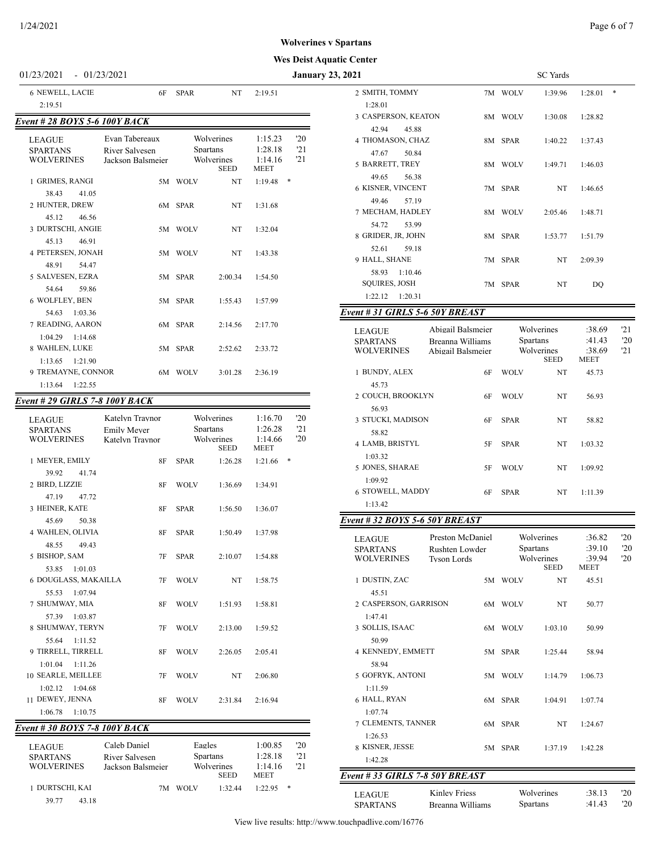#### **Wes Deist Aquatic Center**

#### 01/23/2021 - 01/23/2021 **January 23, 2**

| <b>6 NEWELL, LACIE</b>                                                            | 6F                                                    | <b>SPAR</b>                                 | NT                 | 2:19.51                                      |                   |
|-----------------------------------------------------------------------------------|-------------------------------------------------------|---------------------------------------------|--------------------|----------------------------------------------|-------------------|
| 2:19.51                                                                           |                                                       |                                             |                    |                                              |                   |
| Event # 28 BOYS 5-6 100Y BACK                                                     |                                                       |                                             |                    |                                              |                   |
| <b>LEAGUE</b><br><b>SPARTANS</b><br><b>WOLVERINES</b>                             | Evan Tabereaux<br>River Salvesen<br>Jackson Balsmeier | Wolverines<br><b>Spartans</b><br>Wolverines | <b>SEED</b>        | 1:15.23<br>1:28.18<br>1:14.16<br><b>MEET</b> | '20<br>'21<br>'21 |
| 1 GRIMES, RANGI                                                                   |                                                       | 5M WOLV                                     | NT.                | 1:19.48                                      | $*$               |
| 38.43<br>41.05<br>2 HUNTER, DREW<br>45.12<br>46.56                                |                                                       | 6M SPAR                                     | NT                 | 1:31.68                                      |                   |
| 3 DURTSCHI, ANGIE                                                                 |                                                       | 5M WOLV                                     | NT                 | 1:32.04                                      |                   |
| 46.91<br>45.13<br><b>4 PETERSEN, JONAH</b><br>48.91<br>54.47                      |                                                       | 5M WOLV                                     | NT                 | 1:43.38                                      |                   |
| 5 SALVESEN, EZRA                                                                  |                                                       | 5M SPAR                                     | 2:00.34            | 1:54.50                                      |                   |
| 54.64<br>59.86<br>6 WOLFLEY, BEN<br>54.63<br>1:03.36                              |                                                       | 5M SPAR                                     | 1:55.43            | 1:57.99                                      |                   |
| 7 READING, AARON                                                                  |                                                       | 6M SPAR                                     | 2:14.56            | 2:17.70                                      |                   |
| 1:04.29<br>1:14.68<br>8 WAHLEN, LUKE<br>$1:13.65$ $1:21.90$<br>9 TREMAYNE, CONNOR |                                                       | 5M SPAR<br>6M WOLV                          | 2:52.62<br>3:01.28 | 2:33.72<br>2:36.19                           |                   |
| 1:13.64<br>1:22.55                                                                |                                                       |                                             |                    |                                              |                   |

## *Event # 29 GIRLS 7-8 100Y BACK*

| <b>LEAGUE</b><br><b>SPARTANS</b><br><b>WOLVERINES</b> | Katelyn Traynor<br><b>Emily Mever</b><br>Katelyn Traynor    |             | Wolverines<br><b>Spartans</b><br>Wolverines<br><b>SEED</b> | 1:16.70<br>1:26.28<br>1:14.66<br><b>MEET</b> | '20<br>'21<br>'20 |
|-------------------------------------------------------|-------------------------------------------------------------|-------------|------------------------------------------------------------|----------------------------------------------|-------------------|
| 1 MEYER, EMILY                                        | 8F                                                          | <b>SPAR</b> | 1:26.28                                                    | 1:21.66                                      | *                 |
| 39.92<br>41.74                                        |                                                             |             |                                                            |                                              |                   |
| 2 BIRD, LIZZIE                                        | <b>8F</b>                                                   | <b>WOLV</b> | 1:36.69                                                    | 1:34.91                                      |                   |
| 47.19<br>47.72                                        |                                                             |             |                                                            |                                              |                   |
| 3 HEINER, KATE                                        | 8F                                                          | <b>SPAR</b> | 1:56.50                                                    | 1:36.07                                      |                   |
| 45.69<br>50.38                                        |                                                             |             |                                                            |                                              |                   |
| 4 WAHLEN, OLIVIA                                      | <b>8F</b>                                                   | <b>SPAR</b> | 1:50.49                                                    | 1:37.98                                      |                   |
| 48.55<br>49.43                                        |                                                             |             |                                                            |                                              |                   |
| 5 BISHOP, SAM                                         | 7F                                                          | <b>SPAR</b> | 2:10.07                                                    | 1:54.88                                      |                   |
| 1:01.03<br>53.85                                      |                                                             |             |                                                            |                                              |                   |
| 6 DOUGLASS, MAKAILLA                                  | 7F                                                          | <b>WOLV</b> | NT                                                         | 1:58.75                                      |                   |
| 55.53<br>1:07.94                                      |                                                             |             |                                                            |                                              |                   |
| 7 SHUMWAY, MIA                                        | <b>8F</b>                                                   | <b>WOLV</b> | 1:51.93                                                    | 1:58.81                                      |                   |
| 57.39<br>1:03.87                                      |                                                             |             |                                                            |                                              |                   |
| 8 SHUMWAY, TERYN                                      | 7F                                                          | <b>WOLV</b> | 2:13.00                                                    | 1:59.52                                      |                   |
| 55.64<br>1:11.52                                      |                                                             |             |                                                            |                                              |                   |
| 9 TIRRELL, TIRRELL                                    | 8F                                                          | <b>WOLV</b> | 2:26.05                                                    | 2:05.41                                      |                   |
| $1:01.04$ $1:11.26$                                   |                                                             |             |                                                            |                                              |                   |
| 10 SEARLE, MEILLEE                                    | 7F                                                          | <b>WOLV</b> | <b>NT</b>                                                  | 2:06.80                                      |                   |
| $1:02.12$ $1:04.68$                                   |                                                             |             |                                                            |                                              |                   |
| 11 DEWEY, JENNA                                       | <b>8F</b>                                                   | <b>WOLV</b> | 2:31.84                                                    | 2:16.94                                      |                   |
| 1:06.78<br>1:10.75                                    |                                                             |             |                                                            |                                              |                   |
| Event # 30 BOYS 7-8 100Y BACK                         |                                                             |             |                                                            |                                              |                   |
| <b>LEAGUE</b>                                         | Caleb Daniel                                                | Eagles      |                                                            | 1:00.85                                      | $20^{\circ}$      |
| <b>CDADTANC</b>                                       | $\mathbf{D}_{\text{total}}$ $\mathbf{C}_{\text{olynomial}}$ |             | Snartans                                                   | 1.2818                                       | 121               |

| <b>LEAGUE</b>     | Caleb Daniel      | Eagles                    | 1:00.85                |   | 20  |
|-------------------|-------------------|---------------------------|------------------------|---|-----|
| <b>SPARTANS</b>   | River Salvesen    | <b>Spartans</b>           | 1:28.18                |   | '21 |
| <b>WOLVERINES</b> | Jackson Balsmeier | Wolverines<br><b>SEED</b> | 1:14.16<br><b>MEET</b> |   | 21  |
| 1 DURTSCHI, KAI   | 7M                | 1:32.44<br><b>WOLV</b>    | 1.2295                 | ∗ |     |
| 39.77             | 43.18             |                           |                        |   |     |

| 2021                            |                   |             | <b>SC</b> Yards           |                       |     |
|---------------------------------|-------------------|-------------|---------------------------|-----------------------|-----|
| 2 SMITH, TOMMY                  |                   | 7M WOLV     | 1:39.96                   | 1:28.01               | *   |
| 1:28.01                         |                   |             |                           |                       |     |
| 3 CASPERSON, KEATON             |                   | 8M WOLV     | 1:30.08                   | 1:28.82               |     |
| 42.94<br>45.88                  |                   |             |                           |                       |     |
| 4 THOMASON, CHAZ                |                   | 8M SPAR     | 1:40.22                   | 1:37.43               |     |
| 47.67<br>50.84                  |                   |             |                           |                       |     |
| 5 BARRETT, TREY                 |                   | 8M WOLV     | 1:49.71                   | 1:46.03               |     |
| 49.65<br>56.38                  |                   |             |                           |                       |     |
| <b>6 KISNER, VINCENT</b>        |                   | 7M SPAR     | NT                        | 1:46.65               |     |
| 49.46<br>57.19                  |                   |             |                           |                       |     |
| 7 MECHAM, HADLEY                |                   | 8M WOLV     | 2:05.46                   | 1:48.71               |     |
| 54.72<br>53.99                  |                   |             |                           |                       |     |
| 8 GRIDER, JR, JOHN              |                   | 8M SPAR     | 1:53.77                   | 1:51.79               |     |
| 52.61<br>59.18                  |                   |             |                           |                       |     |
| 9 HALL, SHANE                   |                   | 7M SPAR     | NT                        | 2:09.39               |     |
| 1:10.46<br>58.93                |                   |             |                           |                       |     |
| <b>SQUIRES, JOSH</b>            |                   | 7M SPAR     | NT                        | DO                    |     |
| 1:22.12<br>1:20.31              |                   |             |                           |                       |     |
| Event # 31 GIRLS 5-6 50Y BREAST |                   |             |                           |                       |     |
| <b>LEAGUE</b>                   | Abigail Balsmeier |             | Wolverines                | :38.69                | 121 |
| <b>SPARTANS</b>                 | Breanna Williams  |             | Spartans                  | :41.43                | '20 |
| <b>WOLVERINES</b>               | Abigail Balsmeier |             | Wolverines<br><b>SEED</b> | :38.69<br><b>MEET</b> | 21  |
| 1 BUNDY, ALEX                   | 6F                | <b>WOLV</b> | NT                        | 45.73                 |     |

2 COUCH, BROOKLYN 6F WOLV NT 56.93

3 STUCKI, MADISON 6F SPAR NT 58.82

4 LAMB, BRISTYL 5F SPAR NT 1:03.32

5 JONES, SHARAE 5F WOLV NT 1:09.92

6 STOWELL, MADDY 6F SPAR NT 1:11.39

#### *Event # 32 BOYS 5-6 50Y BREAST*

45.73

56.93

58.82

1:03.32

1:09.92

1:13.42

| <b>LEAGUE</b><br><b>SPARTANS</b><br><b>WOLVERINES</b> | Preston McDaniel<br>Rushten Lowder<br><b>Tyson Lords</b> |      | Spartans    | Wolverines<br>Wolverines<br><b>SEED</b> | :36.82<br>:39.10<br>:39.94<br><b>MEET</b> | '20<br>'20<br>'20 |
|-------------------------------------------------------|----------------------------------------------------------|------|-------------|-----------------------------------------|-------------------------------------------|-------------------|
| 1 DUSTIN, ZAC                                         |                                                          |      | 5M WOLV     | NT                                      | 45.51                                     |                   |
| 45.51                                                 |                                                          |      |             |                                         |                                           |                   |
| 2 CASPERSON, GARRISON                                 |                                                          |      | 6M WOLV     | NT                                      | 50.77                                     |                   |
| 1:47.41                                               |                                                          |      |             |                                         |                                           |                   |
| 3 SOLLIS, ISAAC                                       |                                                          | 6M   | <b>WOLV</b> | 1:03.10                                 | 50.99                                     |                   |
| 50.99                                                 |                                                          |      |             |                                         |                                           |                   |
| 4 KENNEDY, EMMETT                                     |                                                          | 5M   | <b>SPAR</b> | 1:25.44                                 | 58.94                                     |                   |
| 58.94                                                 |                                                          |      |             |                                         |                                           |                   |
| 5 GOFRYK, ANTONI                                      |                                                          |      | 5M WOLV     | 1:14.79                                 | 1:06.73                                   |                   |
| 1:11.59                                               |                                                          |      |             |                                         |                                           |                   |
| 6 HALL, RYAN                                          |                                                          | 6M - | <b>SPAR</b> | 1:04.91                                 | 1:07.74                                   |                   |
| 1:07.74                                               |                                                          |      |             |                                         |                                           |                   |
| 7 CLEMENTS, TANNER                                    |                                                          | 6M   | <b>SPAR</b> | <b>NT</b>                               | 1:24.67                                   |                   |
| 1:26.53                                               |                                                          |      |             |                                         |                                           |                   |
| 8 KISNER, JESSE                                       |                                                          | 5M   | <b>SPAR</b> | 1:37.19                                 | 1:42.28                                   |                   |
| 1:42.28                                               |                                                          |      |             |                                         |                                           |                   |
| Event # 33 GIRLS 7-8 50Y BREAST                       |                                                          |      |             |                                         |                                           |                   |
|                                                       | <b>Kinley Friess</b>                                     |      |             | Wolverines                              | :38.13                                    | '20               |
| <b>LEAGUE</b>                                         |                                                          |      |             |                                         | :41.43                                    | 20                |
| <b>SPARTANS</b>                                       | Breanna Williams                                         |      | Spartans    |                                         |                                           |                   |